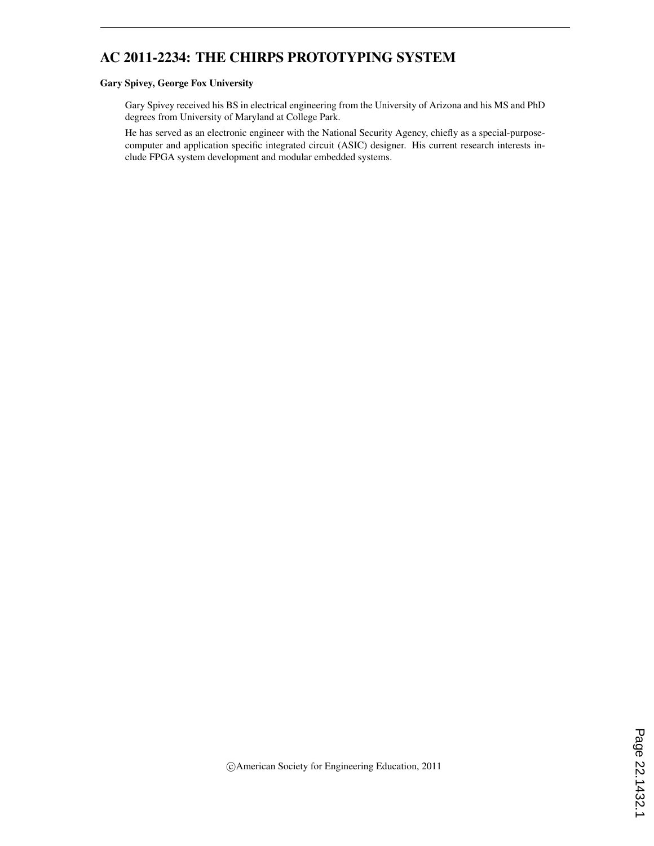# AC 2011-2234: THE CHIRPS PROTOTYPING SYSTEM

#### Gary Spivey, George Fox University

Gary Spivey received his BS in electrical engineering from the University of Arizona and his MS and PhD degrees from University of Maryland at College Park.

He has served as an electronic engineer with the National Security Agency, chiefly as a special-purposecomputer and application specific integrated circuit (ASIC) designer. His current research interests include FPGA system development and modular embedded systems.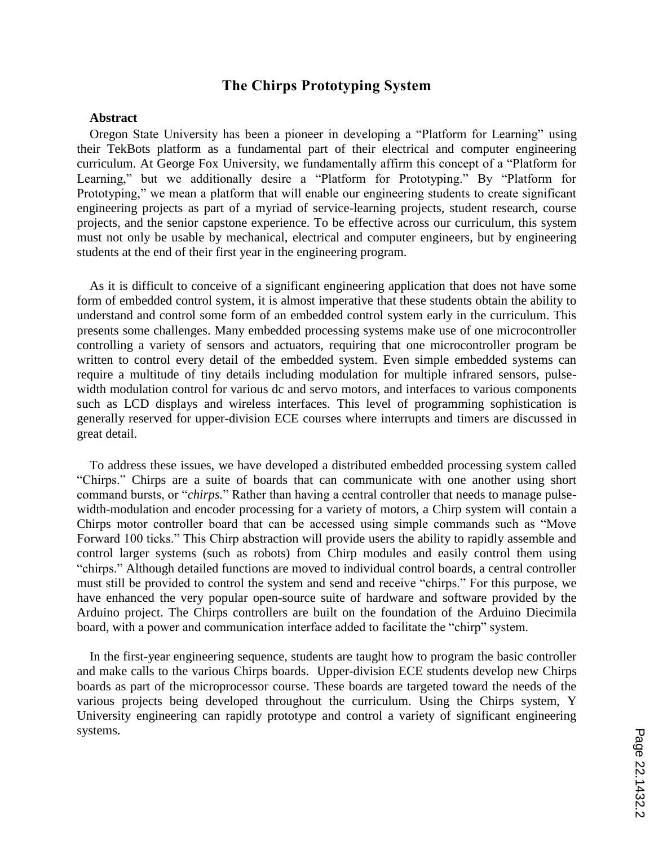## **The Chirps Prototyping System**

#### **Abstract**

Oregon State University has been a pioneer in developing a "Platform for Learning" using their TekBots platform as a fundamental part of their electrical and computer engineering curriculum. At George Fox University, we fundamentally affirm this concept of a "Platform for Learning," but we additionally desire a "Platform for Prototyping." By "Platform for Prototyping," we mean a platform that will enable our engineering students to create significant engineering projects as part of a myriad of service-learning projects, student research, course projects, and the senior capstone experience. To be effective across our curriculum, this system must not only be usable by mechanical, electrical and computer engineers, but by engineering students at the end of their first year in the engineering program.

As it is difficult to conceive of a significant engineering application that does not have some form of embedded control system, it is almost imperative that these students obtain the ability to understand and control some form of an embedded control system early in the curriculum. This presents some challenges. Many embedded processing systems make use of one microcontroller controlling a variety of sensors and actuators, requiring that one microcontroller program be written to control every detail of the embedded system. Even simple embedded systems can require a multitude of tiny details including modulation for multiple infrared sensors, pulsewidth modulation control for various dc and servo motors, and interfaces to various components such as LCD displays and wireless interfaces. This level of programming sophistication is generally reserved for upper-division ECE courses where interrupts and timers are discussed in great detail.

To address these issues, we have developed a distributed embedded processing system called "Chirps." Chirps are a suite of boards that can communicate with one another using short command bursts, or "*chirps.*" Rather than having a central controller that needs to manage pulsewidth-modulation and encoder processing for a variety of motors, a Chirp system will contain a Chirps motor controller board that can be accessed using simple commands such as "Move Forward 100 ticks." This Chirp abstraction will provide users the ability to rapidly assemble and control larger systems (such as robots) from Chirp modules and easily control them using "chirps." Although detailed functions are moved to individual control boards, a central controller must still be provided to control the system and send and receive "chirps." For this purpose, we have enhanced the very popular open-source suite of hardware and software provided by the Arduino project. The Chirps controllers are built on the foundation of the Arduino Diecimila board, with a power and communication interface added to facilitate the "chirp" system.

In the first-year engineering sequence, students are taught how to program the basic controller and make calls to the various Chirps boards. Upper-division ECE students develop new Chirps boards as part of the microprocessor course. These boards are targeted toward the needs of the various projects being developed throughout the curriculum. Using the Chirps system, Y University engineering can rapidly prototype and control a variety of significant engineering systems.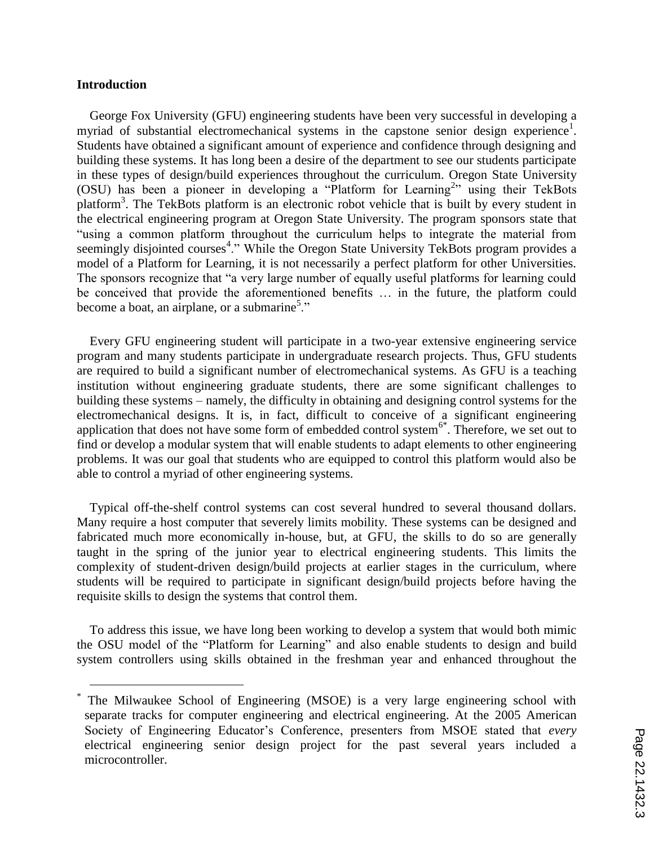#### **Introduction**

 $\overline{a}$ 

George Fox University (GFU) engineering students have been very successful in developing a myriad of substantial electromechanical systems in the capstone senior design experience<sup>1</sup>. Students have obtained a significant amount of experience and confidence through designing and building these systems. It has long been a desire of the department to see our students participate in these types of design/build experiences throughout the curriculum. Oregon State University (OSU) has been a pioneer in developing a "Platform for Learning<sup>2</sup>" using their TekBots platform<sup>3</sup>. The TekBots platform is an electronic robot vehicle that is built by every student in the electrical engineering program at Oregon State University. The program sponsors state that "using a common platform throughout the curriculum helps to integrate the material from seemingly disjointed courses<sup>4</sup>." While the Oregon State University TekBots program provides a model of a Platform for Learning, it is not necessarily a perfect platform for other Universities. The sponsors recognize that "a very large number of equally useful platforms for learning could be conceived that provide the aforementioned benefits … in the future, the platform could become a boat, an airplane, or a submarine<sup>5</sup>."

Every GFU engineering student will participate in a two-year extensive engineering service program and many students participate in undergraduate research projects. Thus, GFU students are required to build a significant number of electromechanical systems. As GFU is a teaching institution without engineering graduate students, there are some significant challenges to building these systems – namely, the difficulty in obtaining and designing control systems for the electromechanical designs. It is, in fact, difficult to conceive of a significant engineering application that does not have some form of embedded control system<sup>6\*</sup>. Therefore, we set out to find or develop a modular system that will enable students to adapt elements to other engineering problems. It was our goal that students who are equipped to control this platform would also be able to control a myriad of other engineering systems.

Typical off-the-shelf control systems can cost several hundred to several thousand dollars. Many require a host computer that severely limits mobility. These systems can be designed and fabricated much more economically in-house, but, at GFU, the skills to do so are generally taught in the spring of the junior year to electrical engineering students. This limits the complexity of student-driven design/build projects at earlier stages in the curriculum, where students will be required to participate in significant design/build projects before having the requisite skills to design the systems that control them.

To address this issue, we have long been working to develop a system that would both mimic the OSU model of the "Platform for Learning" and also enable students to design and build system controllers using skills obtained in the freshman year and enhanced throughout the

<sup>\*</sup> The Milwaukee School of Engineering (MSOE) is a very large engineering school with separate tracks for computer engineering and electrical engineering. At the 2005 American Society of Engineering Educator's Conference, presenters from MSOE stated that *every* electrical engineering senior design project for the past several years included a microcontroller.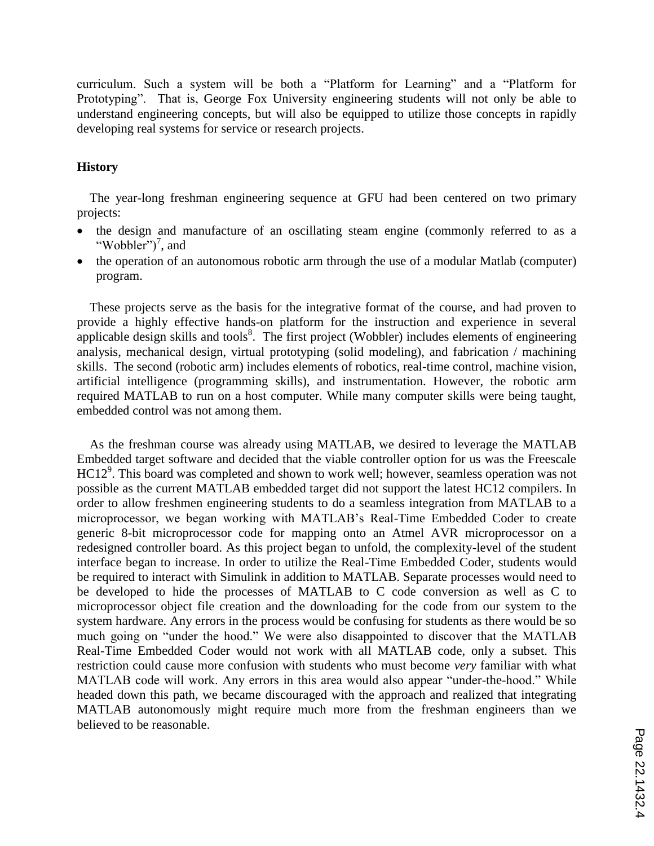curriculum. Such a system will be both a "Platform for Learning" and a "Platform for Prototyping". That is, George Fox University engineering students will not only be able to understand engineering concepts, but will also be equipped to utilize those concepts in rapidly developing real systems for service or research projects.

#### **History**

The year-long freshman engineering sequence at GFU had been centered on two primary projects:

- the design and manufacture of an oscillating steam engine (commonly referred to as a "Wobbler" $)^7$ , and
- the operation of an autonomous robotic arm through the use of a modular Matlab (computer) program.

These projects serve as the basis for the integrative format of the course, and had proven to provide a highly effective hands-on platform for the instruction and experience in several applicable design skills and tools $\delta$ . The first project (Wobbler) includes elements of engineering analysis, mechanical design, virtual prototyping (solid modeling), and fabrication / machining skills. The second (robotic arm) includes elements of robotics, real-time control, machine vision, artificial intelligence (programming skills), and instrumentation. However, the robotic arm required MATLAB to run on a host computer. While many computer skills were being taught, embedded control was not among them.

As the freshman course was already using MATLAB, we desired to leverage the MATLAB Embedded target software and decided that the viable controller option for us was the Freescale HC12<sup>9</sup>. This board was completed and shown to work well; however, seamless operation was not possible as the current MATLAB embedded target did not support the latest HC12 compilers. In order to allow freshmen engineering students to do a seamless integration from MATLAB to a microprocessor, we began working with MATLAB"s Real-Time Embedded Coder to create generic 8-bit microprocessor code for mapping onto an Atmel AVR microprocessor on a redesigned controller board. As this project began to unfold, the complexity-level of the student interface began to increase. In order to utilize the Real-Time Embedded Coder, students would be required to interact with Simulink in addition to MATLAB. Separate processes would need to be developed to hide the processes of MATLAB to C code conversion as well as C to microprocessor object file creation and the downloading for the code from our system to the system hardware. Any errors in the process would be confusing for students as there would be so much going on "under the hood." We were also disappointed to discover that the MATLAB Real-Time Embedded Coder would not work with all MATLAB code, only a subset. This restriction could cause more confusion with students who must become *very* familiar with what MATLAB code will work. Any errors in this area would also appear "under-the-hood." While headed down this path, we became discouraged with the approach and realized that integrating MATLAB autonomously might require much more from the freshman engineers than we believed to be reasonable.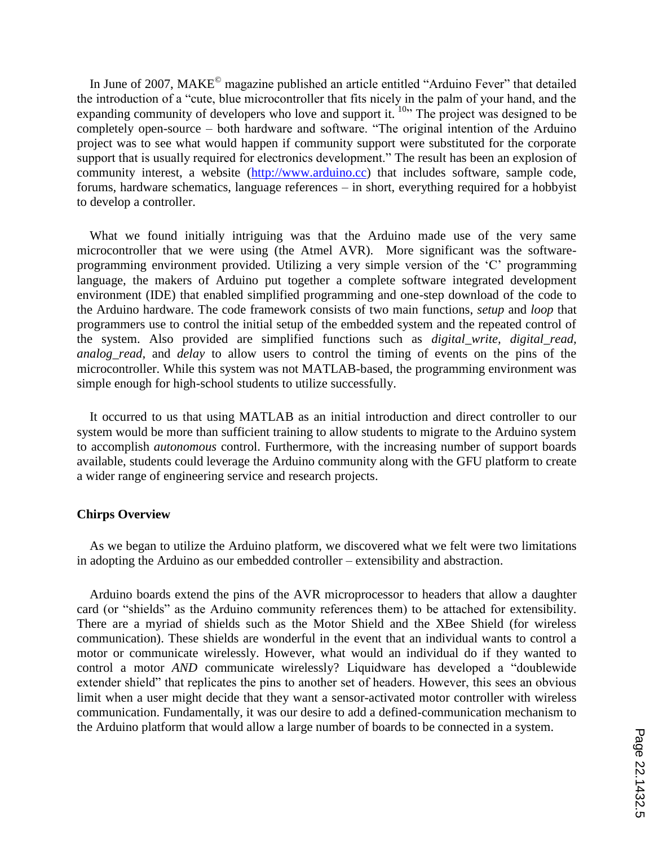In June of 2007, MAKE© magazine published an article entitled "Arduino Fever" that detailed the introduction of a "cute, blue microcontroller that fits nicely in the palm of your hand, and the expanding community of developers who love and support it.  $10$ <sup>10</sup> The project was designed to be completely open-source – both hardware and software. "The original intention of the Arduino project was to see what would happen if community support were substituted for the corporate support that is usually required for electronics development." The result has been an explosion of community interest, a website (http://www.arduino.cc) that includes software, sample code, forums, hardware schematics, language references – in short, everything required for a hobbyist to develop a controller.

What we found initially intriguing was that the Arduino made use of the very same microcontroller that we were using (the Atmel AVR). More significant was the softwareprogramming environment provided. Utilizing a very simple version of the "C" programming language, the makers of Arduino put together a complete software integrated development environment (IDE) that enabled simplified programming and one-step download of the code to the Arduino hardware. The code framework consists of two main functions, *setup* and *loop* that programmers use to control the initial setup of the embedded system and the repeated control of the system. Also provided are simplified functions such as *digital\_write, digital\_read, analog read,* and *delay* to allow users to control the timing of events on the pins of the microcontroller. While this system was not MATLAB-based, the programming environment was simple enough for high-school students to utilize successfully.

It occurred to us that using MATLAB as an initial introduction and direct controller to our system would be more than sufficient training to allow students to migrate to the Arduino system to accomplish *autonomous* control. Furthermore, with the increasing number of support boards available, students could leverage the Arduino community along with the GFU platform to create a wider range of engineering service and research projects.

#### **Chirps Overview**

As we began to utilize the Arduino platform, we discovered what we felt were two limitations in adopting the Arduino as our embedded controller – extensibility and abstraction.

Arduino boards extend the pins of the AVR microprocessor to headers that allow a daughter card (or "shields" as the Arduino community references them) to be attached for extensibility. There are a myriad of shields such as the Motor Shield and the XBee Shield (for wireless communication). These shields are wonderful in the event that an individual wants to control a motor or communicate wirelessly. However, what would an individual do if they wanted to control a motor *AND* communicate wirelessly? Liquidware has developed a "doublewide extender shield" that replicates the pins to another set of headers. However, this sees an obvious limit when a user might decide that they want a sensor-activated motor controller with wireless communication. Fundamentally, it was our desire to add a defined-communication mechanism to the Arduino platform that would allow a large number of boards to be connected in a system.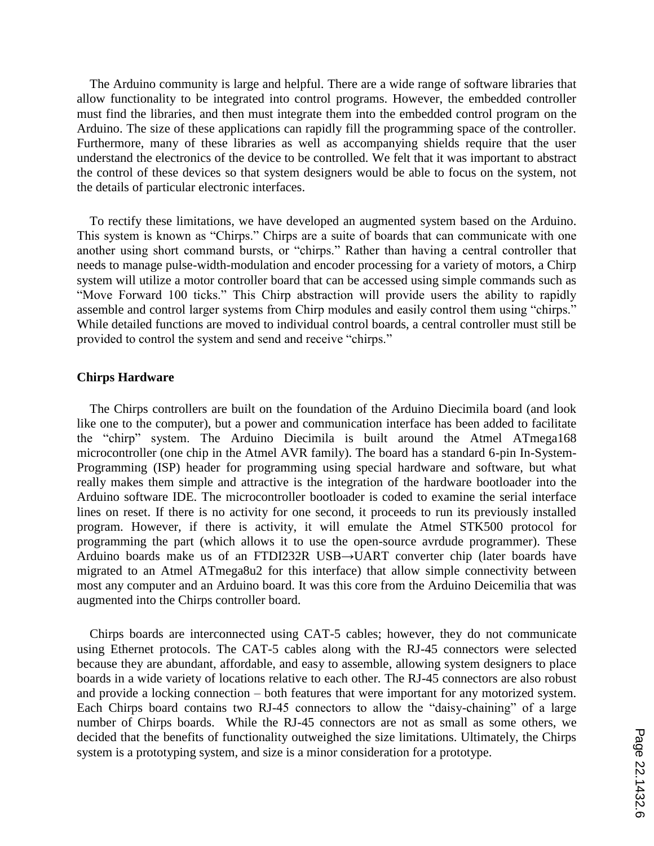The Arduino community is large and helpful. There are a wide range of software libraries that allow functionality to be integrated into control programs. However, the embedded controller must find the libraries, and then must integrate them into the embedded control program on the Arduino. The size of these applications can rapidly fill the programming space of the controller. Furthermore, many of these libraries as well as accompanying shields require that the user understand the electronics of the device to be controlled. We felt that it was important to abstract the control of these devices so that system designers would be able to focus on the system, not the details of particular electronic interfaces.

To rectify these limitations, we have developed an augmented system based on the Arduino. This system is known as "Chirps." Chirps are a suite of boards that can communicate with one another using short command bursts, or "chirps." Rather than having a central controller that needs to manage pulse-width-modulation and encoder processing for a variety of motors, a Chirp system will utilize a motor controller board that can be accessed using simple commands such as "Move Forward 100 ticks." This Chirp abstraction will provide users the ability to rapidly assemble and control larger systems from Chirp modules and easily control them using "chirps." While detailed functions are moved to individual control boards, a central controller must still be provided to control the system and send and receive "chirps."

#### **Chirps Hardware**

The Chirps controllers are built on the foundation of the Arduino Diecimila board (and look like one to the computer), but a power and communication interface has been added to facilitate the "chirp" system. The Arduino Diecimila is built around the Atmel ATmega168 microcontroller (one chip in the Atmel AVR family). The board has a standard 6-pin In-System-Programming (ISP) header for programming using special hardware and software, but what really makes them simple and attractive is the integration of the hardware bootloader into the Arduino software IDE. The microcontroller bootloader is coded to examine the serial interface lines on reset. If there is no activity for one second, it proceeds to run its previously installed program. However, if there is activity, it will emulate the Atmel STK500 protocol for programming the part (which allows it to use the open-source avrdude programmer). These Arduino boards make us of an FTDI232R USB→UART converter chip (later boards have migrated to an Atmel ATmega8u2 for this interface) that allow simple connectivity between most any computer and an Arduino board. It was this core from the Arduino Deicemilia that was augmented into the Chirps controller board.

Chirps boards are interconnected using CAT-5 cables; however, they do not communicate using Ethernet protocols. The CAT-5 cables along with the RJ-45 connectors were selected because they are abundant, affordable, and easy to assemble, allowing system designers to place boards in a wide variety of locations relative to each other. The RJ-45 connectors are also robust and provide a locking connection – both features that were important for any motorized system. Each Chirps board contains two RJ-45 connectors to allow the "daisy-chaining" of a large number of Chirps boards. While the RJ-45 connectors are not as small as some others, we decided that the benefits of functionality outweighed the size limitations. Ultimately, the Chirps system is a prototyping system, and size is a minor consideration for a prototype.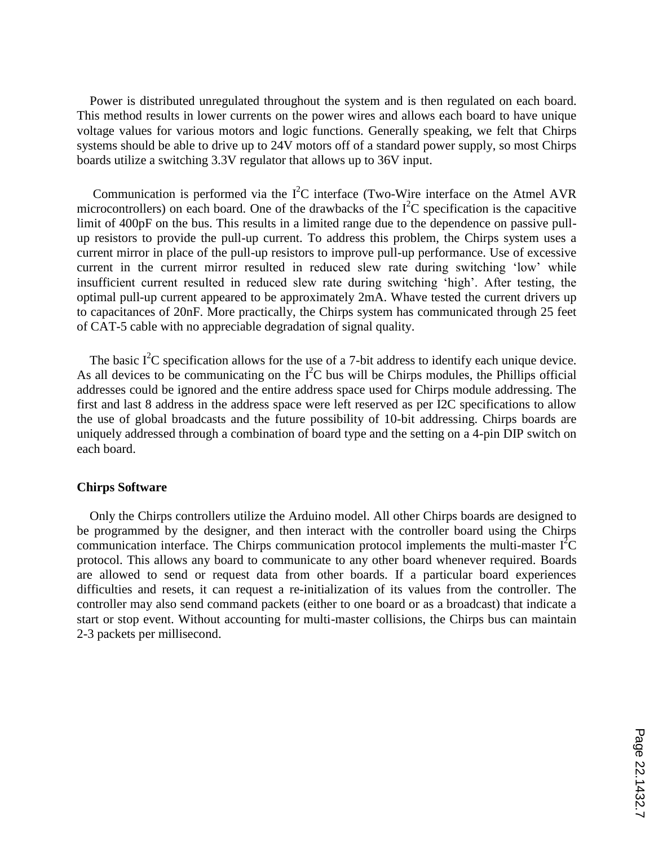Power is distributed unregulated throughout the system and is then regulated on each board. This method results in lower currents on the power wires and allows each board to have unique voltage values for various motors and logic functions. Generally speaking, we felt that Chirps systems should be able to drive up to 24V motors off of a standard power supply, so most Chirps boards utilize a switching 3.3V regulator that allows up to 36V input.

Communication is performed via the  $I^2C$  interface (Two-Wire interface on the Atmel AVR microcontrollers) on each board. One of the drawbacks of the  $I<sup>2</sup>C$  specification is the capacitive limit of 400pF on the bus. This results in a limited range due to the dependence on passive pullup resistors to provide the pull-up current. To address this problem, the Chirps system uses a current mirror in place of the pull-up resistors to improve pull-up performance. Use of excessive current in the current mirror resulted in reduced slew rate during switching 'low' while insufficient current resulted in reduced slew rate during switching 'high'. After testing, the optimal pull-up current appeared to be approximately 2mA. Whave tested the current drivers up to capacitances of 20nF. More practically, the Chirps system has communicated through 25 feet of CAT-5 cable with no appreciable degradation of signal quality.

The basic  $I^2C$  specification allows for the use of a 7-bit address to identify each unique device. As all devices to be communicating on the  $I<sup>2</sup>C$  bus will be Chirps modules, the Phillips official addresses could be ignored and the entire address space used for Chirps module addressing. The first and last 8 address in the address space were left reserved as per I2C specifications to allow the use of global broadcasts and the future possibility of 10-bit addressing. Chirps boards are uniquely addressed through a combination of board type and the setting on a 4-pin DIP switch on each board.

#### **Chirps Software**

Only the Chirps controllers utilize the Arduino model. All other Chirps boards are designed to be programmed by the designer, and then interact with the controller board using the Chirps communication interface. The Chirps communication protocol implements the multi-master  $I^2C$ protocol. This allows any board to communicate to any other board whenever required. Boards are allowed to send or request data from other boards. If a particular board experiences difficulties and resets, it can request a re-initialization of its values from the controller. The controller may also send command packets (either to one board or as a broadcast) that indicate a start or stop event. Without accounting for multi-master collisions, the Chirps bus can maintain 2-3 packets per millisecond.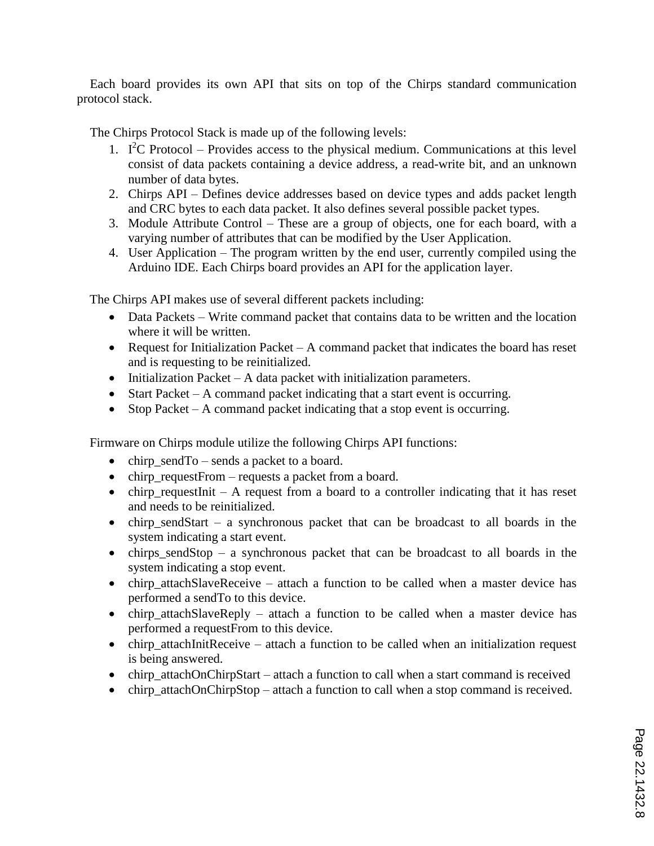Each board provides its own API that sits on top of the Chirps standard communication protocol stack.

The Chirps Protocol Stack is made up of the following levels:

- 1.  $I^2C$  Protocol Provides access to the physical medium. Communications at this level consist of data packets containing a device address, a read-write bit, and an unknown number of data bytes.
- 2. Chirps API Defines device addresses based on device types and adds packet length and CRC bytes to each data packet. It also defines several possible packet types.
- 3. Module Attribute Control These are a group of objects, one for each board, with a varying number of attributes that can be modified by the User Application.
- 4. User Application The program written by the end user, currently compiled using the Arduino IDE. Each Chirps board provides an API for the application layer.

The Chirps API makes use of several different packets including:

- Data Packets Write command packet that contains data to be written and the location where it will be written.
- Request for Initialization Packet A command packet that indicates the board has reset and is requesting to be reinitialized.
- $\bullet$  Initialization Packet A data packet with initialization parameters.
- Start Packet A command packet indicating that a start event is occurring.
- Stop Packet A command packet indicating that a stop event is occurring.

Firmware on Chirps module utilize the following Chirps API functions:

- $\bullet$  chirp send To sends a packet to a board.
- chirp requestFrom requests a packet from a board.
- $\bullet$  chirp\_requestInit A request from a board to a controller indicating that it has reset and needs to be reinitialized.
- chirp\_sendStart a synchronous packet that can be broadcast to all boards in the system indicating a start event.
- $\bullet$  chirps\_sendStop a synchronous packet that can be broadcast to all boards in the system indicating a stop event.
- chirp attachSlaveReceive attach a function to be called when a master device has performed a sendTo to this device.
- chirp\_attachSlaveReply attach a function to be called when a master device has performed a requestFrom to this device.
- chirp\_attachInitReceive attach a function to be called when an initialization request is being answered.
- chirp\_attachOnChirpStart attach a function to call when a start command is received
- chirp\_attachOnChirpStop attach a function to call when a stop command is received.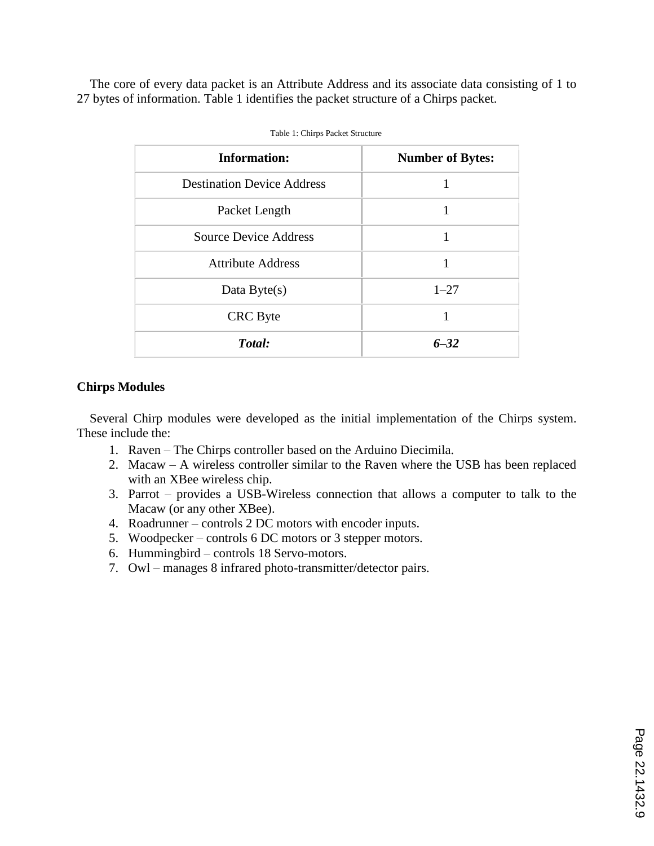The core of every data packet is an Attribute Address and its associate data consisting of 1 to 27 bytes of information. Table 1 identifies the packet structure of a Chirps packet.

| <b>Information:</b>               | <b>Number of Bytes:</b> |
|-----------------------------------|-------------------------|
| <b>Destination Device Address</b> |                         |
| Packet Length                     |                         |
| <b>Source Device Address</b>      |                         |
| <b>Attribute Address</b>          |                         |
| Data Byte $(s)$                   | $1 - 27$                |
| <b>CRC</b> Byte                   |                         |
| Total:                            | $6 - 32$                |

|  |  |  | Table 1: Chirps Packet Structure |
|--|--|--|----------------------------------|
|--|--|--|----------------------------------|

### **Chirps Modules**

Several Chirp modules were developed as the initial implementation of the Chirps system. These include the:

- 1. Raven The Chirps controller based on the Arduino Diecimila.
- 2. Macaw A wireless controller similar to the Raven where the USB has been replaced with an XBee wireless chip.
- 3. Parrot provides a USB-Wireless connection that allows a computer to talk to the Macaw (or any other XBee).
- 4. Roadrunner controls 2 DC motors with encoder inputs.
- 5. Woodpecker controls 6 DC motors or 3 stepper motors.
- 6. Hummingbird controls 18 Servo-motors.
- 7. Owl manages 8 infrared photo-transmitter/detector pairs.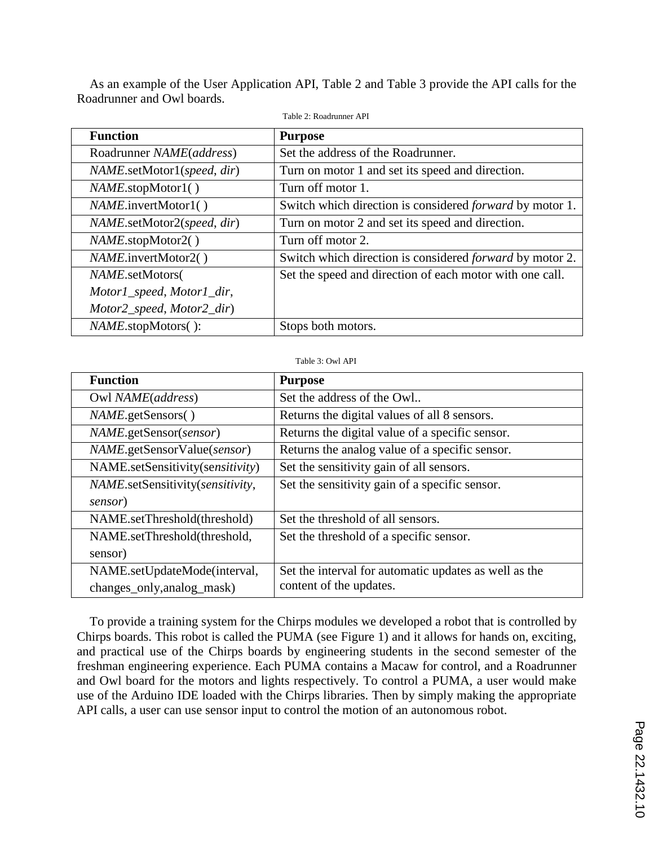As an example of the User Application API, Table 2 and Table 3 provide the API calls for the Roadrunner and Owl boards.

| <b>Purpose</b>                                                  |  |  |
|-----------------------------------------------------------------|--|--|
| Set the address of the Roadrunner.                              |  |  |
| Turn on motor 1 and set its speed and direction.                |  |  |
| Turn off motor 1.                                               |  |  |
| Switch which direction is considered <i>forward</i> by motor 1. |  |  |
| Turn on motor 2 and set its speed and direction.                |  |  |
| Turn off motor 2.                                               |  |  |
| Switch which direction is considered <i>forward</i> by motor 2. |  |  |
| Set the speed and direction of each motor with one call.        |  |  |
|                                                                 |  |  |
|                                                                 |  |  |
| Stops both motors.                                              |  |  |
|                                                                 |  |  |

Table 2: Roadrunner API

#### Table 3: Owl API

| <b>Function</b>                    | <b>Purpose</b>                                        |
|------------------------------------|-------------------------------------------------------|
| Owl NAME(address)                  | Set the address of the Owl                            |
| <i>NAME.getSensors()</i>           | Returns the digital values of all 8 sensors.          |
| NAME.getSensor(sensor)             | Returns the digital value of a specific sensor.       |
| <i>NAME.getSensorValue(sensor)</i> | Returns the analog value of a specific sensor.        |
| NAME.setSensitivity(sensitivity)   | Set the sensitivity gain of all sensors.              |
| NAME.setSensitivity(sensitivity,   | Set the sensitivity gain of a specific sensor.        |
| sensor)                            |                                                       |
| NAME.setThreshold(threshold)       | Set the threshold of all sensors.                     |
| NAME.setThreshold(threshold,       | Set the threshold of a specific sensor.               |
| sensor)                            |                                                       |
| NAME.setUpdateMode(interval,       | Set the interval for automatic updates as well as the |
| changes_only,analog_mask)          | content of the updates.                               |

To provide a training system for the Chirps modules we developed a robot that is controlled by Chirps boards. This robot is called the PUMA (see Figure 1) and it allows for hands on, exciting, and practical use of the Chirps boards by engineering students in the second semester of the freshman engineering experience. Each PUMA contains a Macaw for control, and a Roadrunner and Owl board for the motors and lights respectively. To control a PUMA, a user would make use of the Arduino IDE loaded with the Chirps libraries. Then by simply making the appropriate API calls, a user can use sensor input to control the motion of an autonomous robot.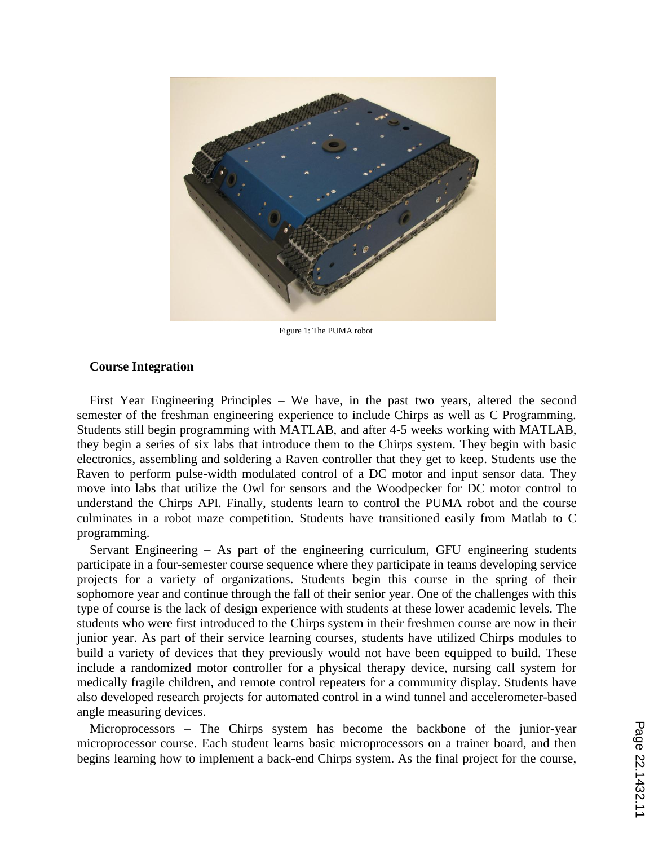

Figure 1: The PUMA robot

#### **Course Integration**

First Year Engineering Principles – We have, in the past two years, altered the second semester of the freshman engineering experience to include Chirps as well as C Programming. Students still begin programming with MATLAB, and after 4-5 weeks working with MATLAB, they begin a series of six labs that introduce them to the Chirps system. They begin with basic electronics, assembling and soldering a Raven controller that they get to keep. Students use the Raven to perform pulse-width modulated control of a DC motor and input sensor data. They move into labs that utilize the Owl for sensors and the Woodpecker for DC motor control to understand the Chirps API. Finally, students learn to control the PUMA robot and the course culminates in a robot maze competition. Students have transitioned easily from Matlab to C programming.

Servant Engineering – As part of the engineering curriculum, GFU engineering students participate in a four-semester course sequence where they participate in teams developing service projects for a variety of organizations. Students begin this course in the spring of their sophomore year and continue through the fall of their senior year. One of the challenges with this type of course is the lack of design experience with students at these lower academic levels. The students who were first introduced to the Chirps system in their freshmen course are now in their junior year. As part of their service learning courses, students have utilized Chirps modules to build a variety of devices that they previously would not have been equipped to build. These include a randomized motor controller for a physical therapy device, nursing call system for medically fragile children, and remote control repeaters for a community display. Students have also developed research projects for automated control in a wind tunnel and accelerometer-based angle measuring devices.

Microprocessors – The Chirps system has become the backbone of the junior-year microprocessor course. Each student learns basic microprocessors on a trainer board, and then begins learning how to implement a back-end Chirps system. As the final project for the course,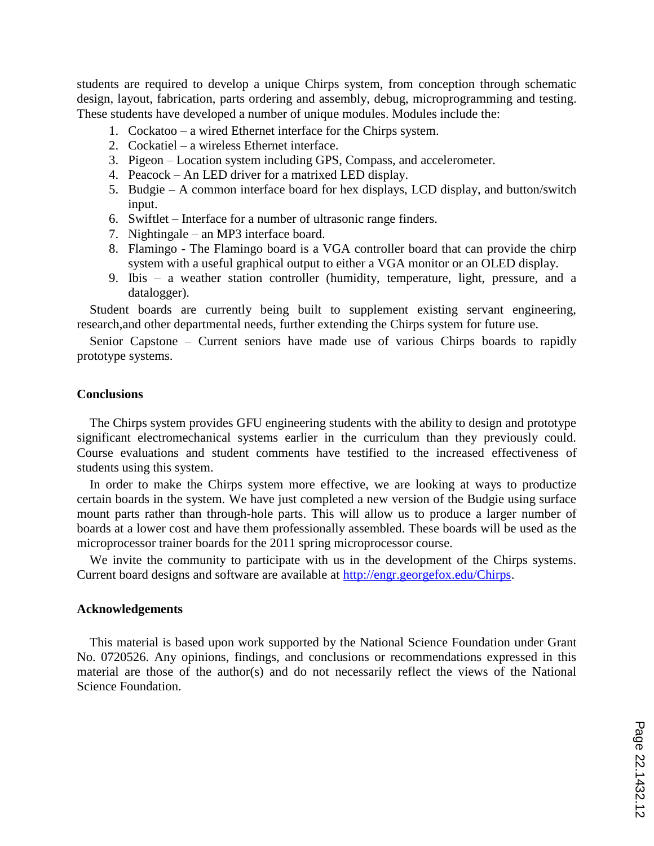students are required to develop a unique Chirps system, from conception through schematic design, layout, fabrication, parts ordering and assembly, debug, microprogramming and testing. These students have developed a number of unique modules. Modules include the:

- 1. Cockatoo a wired Ethernet interface for the Chirps system.
- 2. Cockatiel a wireless Ethernet interface.
- 3. Pigeon Location system including GPS, Compass, and accelerometer.
- 4. Peacock An LED driver for a matrixed LED display.
- 5. Budgie A common interface board for hex displays, LCD display, and button/switch input.
- 6. Swiftlet Interface for a number of ultrasonic range finders.
- 7. Nightingale an MP3 interface board.
- 8. Flamingo The Flamingo board is a VGA controller board that can provide the chirp system with a useful graphical output to either a VGA monitor or an OLED display.
- 9. Ibis a weather station controller (humidity, temperature, light, pressure, and a datalogger).

Student boards are currently being built to supplement existing servant engineering, research,and other departmental needs, further extending the Chirps system for future use.

Senior Capstone – Current seniors have made use of various Chirps boards to rapidly prototype systems.

#### **Conclusions**

The Chirps system provides GFU engineering students with the ability to design and prototype significant electromechanical systems earlier in the curriculum than they previously could. Course evaluations and student comments have testified to the increased effectiveness of students using this system.

In order to make the Chirps system more effective, we are looking at ways to productize certain boards in the system. We have just completed a new version of the Budgie using surface mount parts rather than through-hole parts. This will allow us to produce a larger number of boards at a lower cost and have them professionally assembled. These boards will be used as the microprocessor trainer boards for the 2011 spring microprocessor course.

We invite the community to participate with us in the development of the Chirps systems. Current board designs and software are available at http://engr.georgefox.edu/Chirps.

#### **Acknowledgements**

This material is based upon work supported by the National Science Foundation under Grant No. 0720526. Any opinions, findings, and conclusions or recommendations expressed in this material are those of the author(s) and do not necessarily reflect the views of the National Science Foundation.